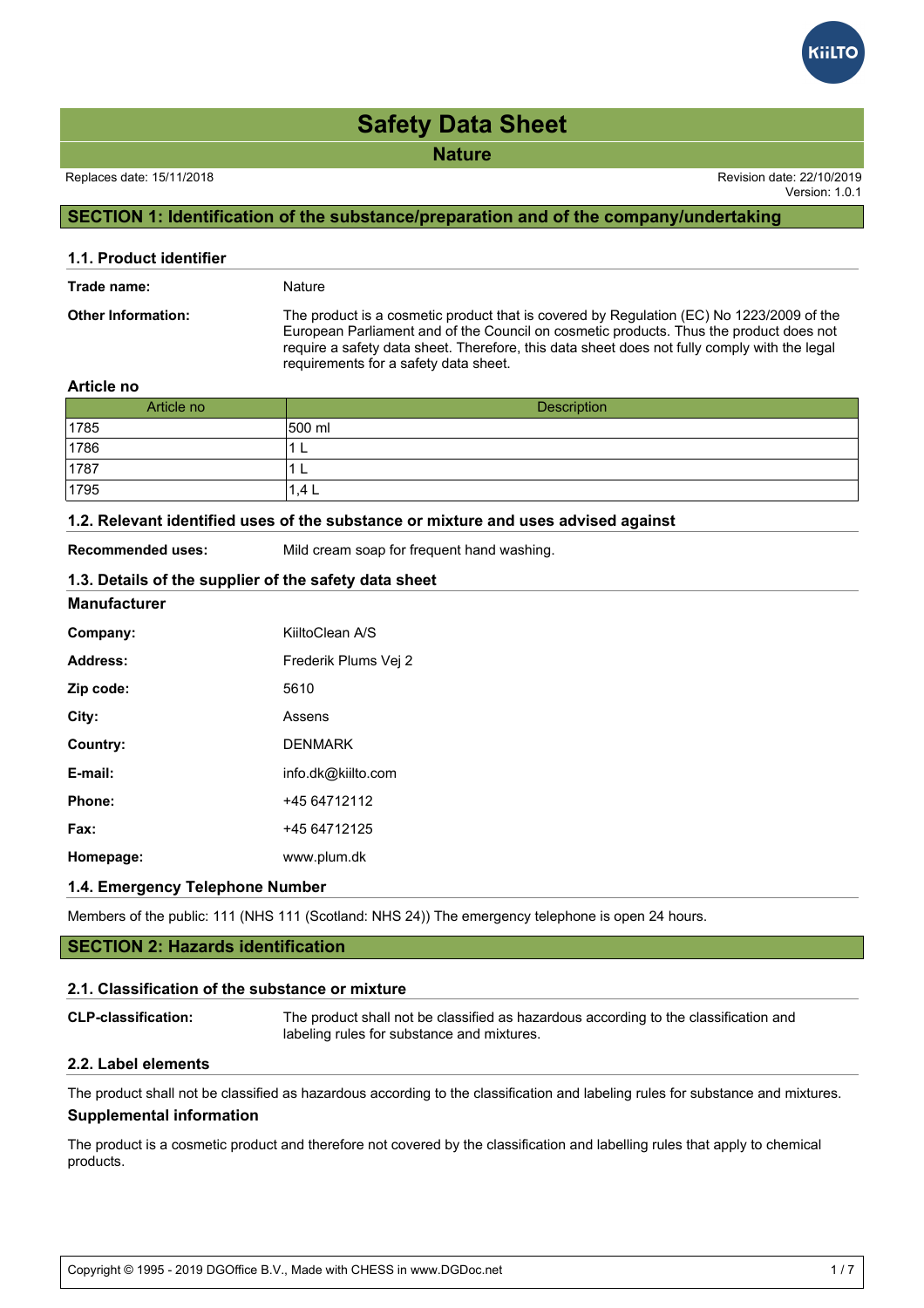**Nature**

Version: 1.0.1

## **SECTION 1: Identification of the substance/preparation and of the company/undertaking**

| 1.1. Product identifier   |                                                                                                                                                                                                                                                                                                                             |
|---------------------------|-----------------------------------------------------------------------------------------------------------------------------------------------------------------------------------------------------------------------------------------------------------------------------------------------------------------------------|
| Trade name:               | Nature                                                                                                                                                                                                                                                                                                                      |
| <b>Other Information:</b> | The product is a cosmetic product that is covered by Regulation (EC) No 1223/2009 of the<br>European Parliament and of the Council on cosmetic products. Thus the product does not<br>require a safety data sheet. Therefore, this data sheet does not fully comply with the legal<br>requirements for a safety data sheet. |
| .                         |                                                                                                                                                                                                                                                                                                                             |

#### **Article no**

| Article no | Description |
|------------|-------------|
| 1785       | 500 ml      |
| 1786       | −           |
| 1787       | ╺           |
| 1795       | .4 L        |

#### **1.2. Relevant identified uses of the substance or mixture and uses advised against**

**Recommended uses:** Mild cream soap for frequent hand washing.

## **1.3. Details of the supplier of the safety data sheet**

#### **Manufacturer**

| Company:  | KiiltoClean A/S      |
|-----------|----------------------|
| Address:  | Frederik Plums Vei 2 |
| Zip code: | 5610                 |
| City:     | Assens               |
| Country:  | <b>DENMARK</b>       |
| E-mail:   | info.dk@kiilto.com   |
| Phone:    | +45 64712112         |
| Fax:      | +45 64712125         |
| Homepage: | www.plum.dk          |

#### **1.4. Emergency Telephone Number**

Members of the public: 111 (NHS 111 (Scotland: NHS 24)) The emergency telephone is open 24 hours.

### **SECTION 2: Hazards identification**

#### **2.1. Classification of the substance or mixture**

| <b>CLP-classification:</b> | The product shall not be classified as hazardous according to the classification and |
|----------------------------|--------------------------------------------------------------------------------------|
|                            | labeling rules for substance and mixtures.                                           |

#### **2.2. Label elements**

The product shall not be classified as hazardous according to the classification and labeling rules for substance and mixtures. **Supplemental information**

The product is a cosmetic product and therefore not covered by the classification and labelling rules that apply to chemical products.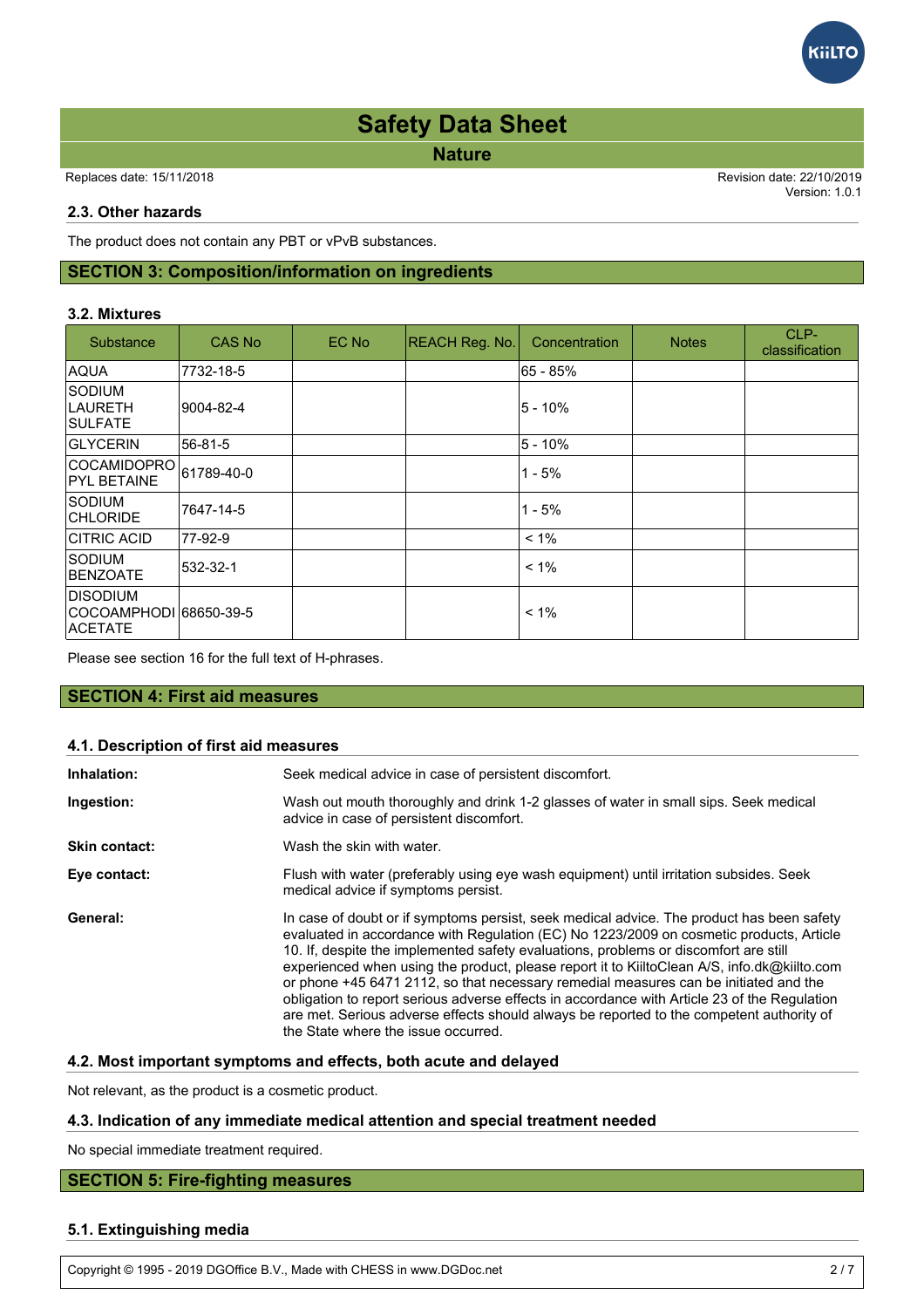**Nature**

Replaces date: 15/11/2018 Revision date: 22/10/2019

Version: 1.0.1

**GILTC** 

#### **2.3. Other hazards**

The product does not contain any PBT or vPvB substances.

## **SECTION 3: Composition/information on ingredients**

#### **3.2. Mixtures**

| Substance                                    | CAS No     | EC No | <b>REACH Reg. No.</b> | Concentration | <b>Notes</b> | CLP-<br>classification |
|----------------------------------------------|------------|-------|-----------------------|---------------|--------------|------------------------|
| <b>AQUA</b>                                  | 7732-18-5  |       |                       | l65 - 85%     |              |                        |
| <b>SODIUM</b><br>ILAURETH<br><b>ISULFATE</b> | 9004-82-4  |       |                       | 5 - 10%       |              |                        |
| <b>GLYCERIN</b>                              | 56-81-5    |       |                       | 5 - 10%       |              |                        |
| <b>COCAMIDOPRO</b><br><b>PYL BETAINE</b>     | 61789-40-0 |       |                       | $1 - 5%$      |              |                        |
| isodium<br><b>CHLORIDE</b>                   | 7647-14-5  |       |                       | $1 - 5%$      |              |                        |
| <b>CITRIC ACID</b>                           | 77-92-9    |       |                       | $< 1\%$       |              |                        |
| <b>SODIUM</b><br><b>BENZOATE</b>             | 532-32-1   |       |                       | $< 1\%$       |              |                        |
| <b>DISODIUM</b><br><b>ACETATE</b>            |            |       |                       | $< 1\%$       |              |                        |

Please see section 16 for the full text of H-phrases.

#### **SECTION 4: First aid measures**

#### **4.1. Description of first aid measures**

| Inhalation:   | Seek medical advice in case of persistent discomfort.                                                                                                                                                                                                                                                                                                                                                                                                                                                                                                                                                                                                                                                  |
|---------------|--------------------------------------------------------------------------------------------------------------------------------------------------------------------------------------------------------------------------------------------------------------------------------------------------------------------------------------------------------------------------------------------------------------------------------------------------------------------------------------------------------------------------------------------------------------------------------------------------------------------------------------------------------------------------------------------------------|
| Ingestion:    | Wash out mouth thoroughly and drink 1-2 glasses of water in small sips. Seek medical<br>advice in case of persistent discomfort.                                                                                                                                                                                                                                                                                                                                                                                                                                                                                                                                                                       |
| Skin contact: | Wash the skin with water.                                                                                                                                                                                                                                                                                                                                                                                                                                                                                                                                                                                                                                                                              |
| Eye contact:  | Flush with water (preferably using eye wash equipment) until irritation subsides. Seek<br>medical advice if symptoms persist.                                                                                                                                                                                                                                                                                                                                                                                                                                                                                                                                                                          |
| General:      | In case of doubt or if symptoms persist, seek medical advice. The product has been safety<br>evaluated in accordance with Regulation (EC) No 1223/2009 on cosmetic products, Article<br>10. If, despite the implemented safety evaluations, problems or discomfort are still<br>experienced when using the product, please report it to KiiltoClean A/S, info.dk@kiilto.com<br>or phone +45 6471 2112, so that necessary remedial measures can be initiated and the<br>obligation to report serious adverse effects in accordance with Article 23 of the Regulation<br>are met. Serious adverse effects should always be reported to the competent authority of<br>the State where the issue occurred. |

#### **4.2. Most important symptoms and effects, both acute and delayed**

Not relevant, as the product is a cosmetic product.

#### **4.3. Indication of any immediate medical attention and special treatment needed**

No special immediate treatment required.

## **SECTION 5: Fire-fighting measures**

#### **5.1. Extinguishing media**

Copyright © 1995 - 2019 DGOffice B.V., Made with CHESS in www.DGDoc.net 2 / 7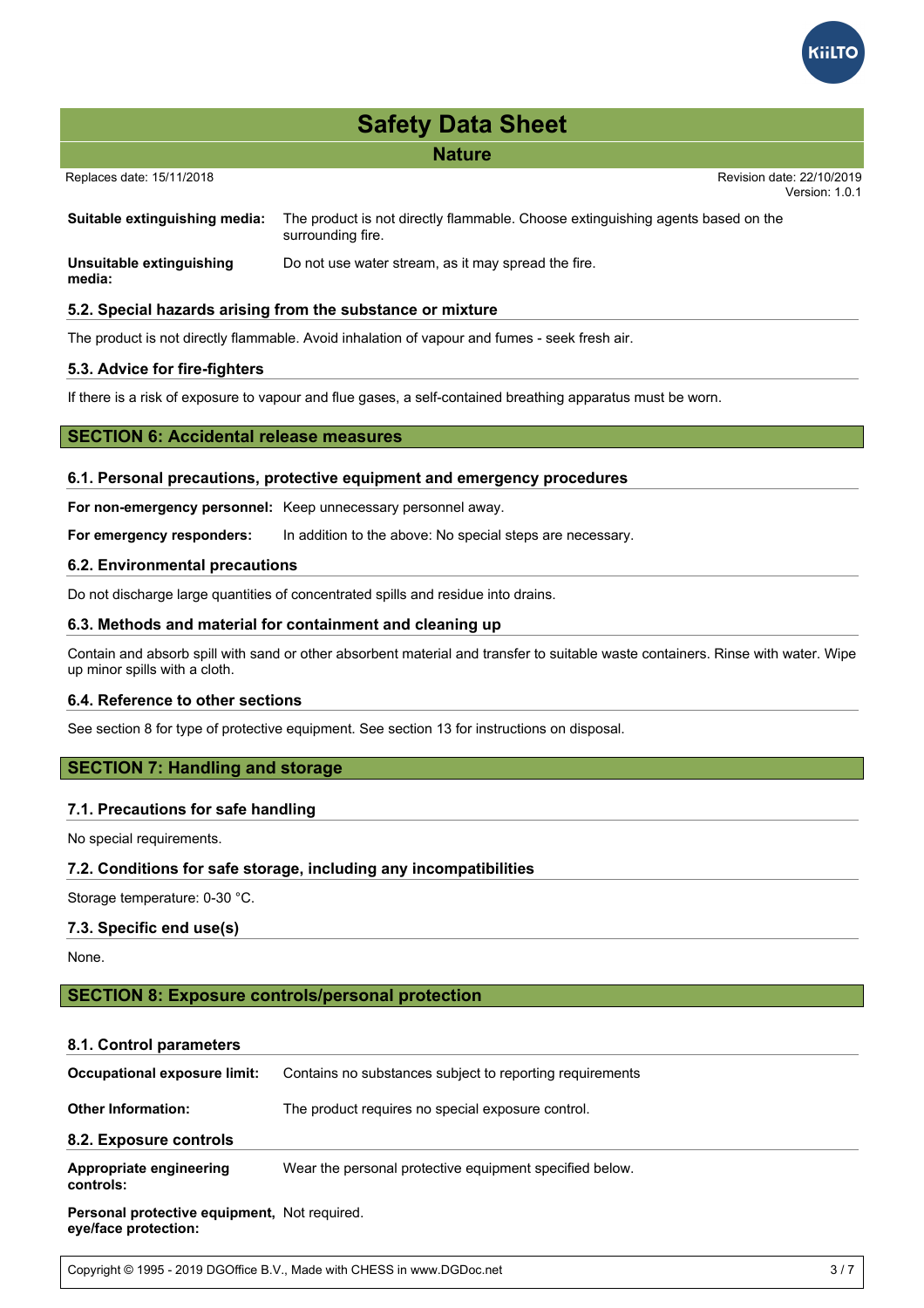

## **Nature**

Version: 1.0.1

| Suitable extinguishing media:      | The product is not directly flammable. Choose extinguishing agents based on the<br>surrounding fire. |
|------------------------------------|------------------------------------------------------------------------------------------------------|
| Unsuitable extinguishing<br>media: | Do not use water stream, as it may spread the fire.                                                  |

#### **5.2. Special hazards arising from the substance or mixture**

The product is not directly flammable. Avoid inhalation of vapour and fumes - seek fresh air.

#### **5.3. Advice for fire-fighters**

If there is a risk of exposure to vapour and flue gases, a self-contained breathing apparatus must be worn.

#### **SECTION 6: Accidental release measures**

#### **6.1. Personal precautions, protective equipment and emergency procedures**

**For non-emergency personnel:** Keep unnecessary personnel away.

**For emergency responders:** In addition to the above: No special steps are necessary.

#### **6.2. Environmental precautions**

Do not discharge large quantities of concentrated spills and residue into drains.

#### **6.3. Methods and material for containment and cleaning up**

Contain and absorb spill with sand or other absorbent material and transfer to suitable waste containers. Rinse with water. Wipe up minor spills with a cloth.

#### **6.4. Reference to other sections**

See section 8 for type of protective equipment. See section 13 for instructions on disposal.

### **SECTION 7: Handling and storage**

#### **7.1. Precautions for safe handling**

No special requirements.

#### **7.2. Conditions for safe storage, including any incompatibilities**

Storage temperature: 0-30 °C.

#### **7.3. Specific end use(s)**

None.

## **SECTION 8: Exposure controls/personal protection**

#### **8.1. Control parameters**

| Occupational exposure limit:                                         | Contains no substances subject to reporting requirements |
|----------------------------------------------------------------------|----------------------------------------------------------|
| <b>Other Information:</b>                                            | The product requires no special exposure control.        |
| 8.2. Exposure controls                                               |                                                          |
| Appropriate engineering<br>controls:                                 | Wear the personal protective equipment specified below.  |
| Personal protective equipment, Not required.<br>eye/face protection: |                                                          |

Copyright © 1995 - 2019 DGOffice B.V., Made with CHESS in www.DGDoc.net 3 / 7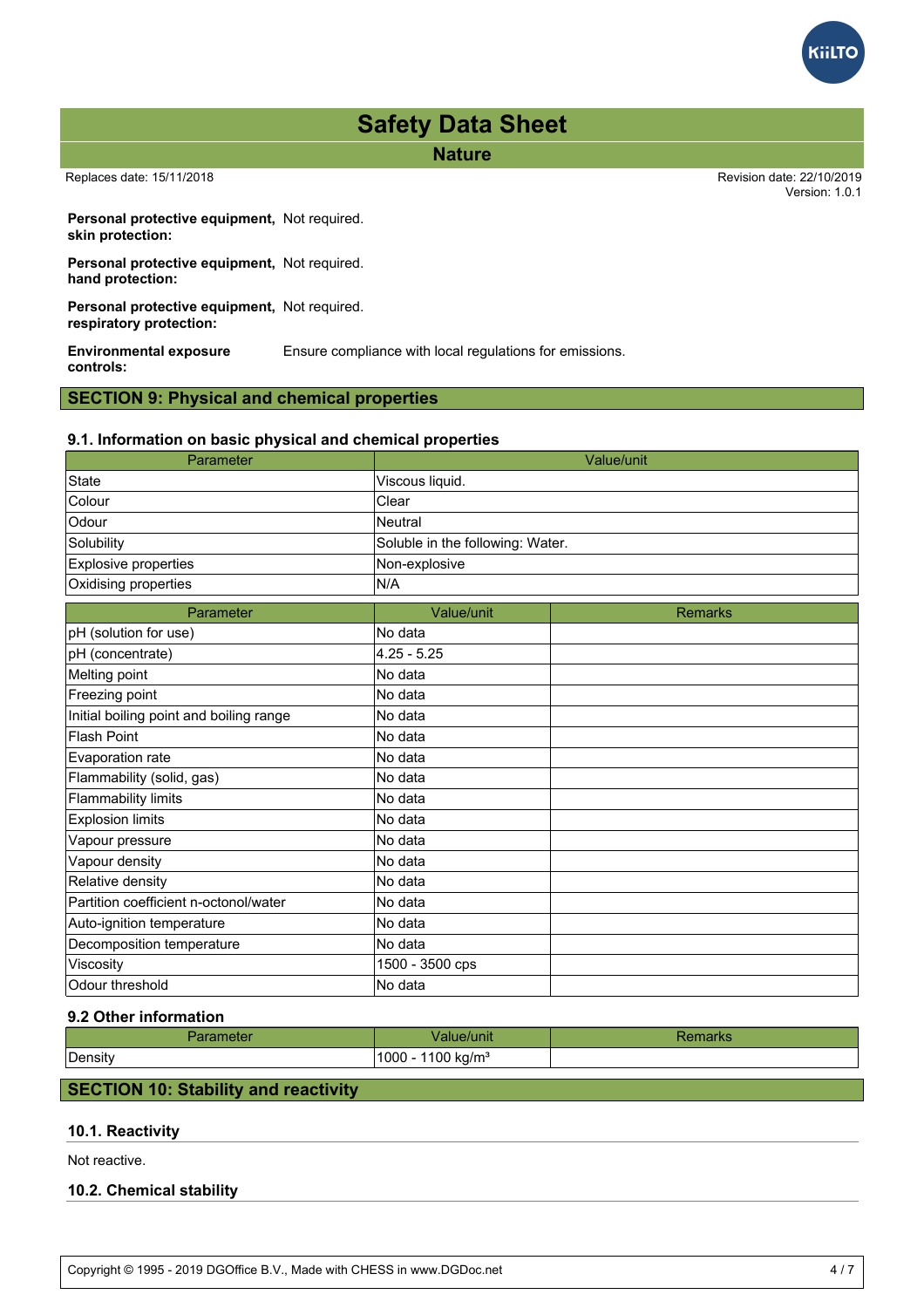

**Nature**

Replaces date: 15/11/2018 Revision date: 22/10/2019

Version: 1.0.1

**Personal protective equipment,** Not required. **skin protection:**

**Personal protective equipment,** Not required. **hand protection:**

**Personal protective equipment,** Not required. **respiratory protection:**

**Environmental exposure controls:** Ensure compliance with local regulations for emissions.

## **SECTION 9: Physical and chemical properties**

#### **9.1. Information on basic physical and chemical properties**

| Parameter                               |                                  | Value/unit     |
|-----------------------------------------|----------------------------------|----------------|
| <b>State</b>                            | Viscous liquid.                  |                |
| Colour                                  | Clear                            |                |
| Odour                                   | Neutral                          |                |
| Solubility                              | Soluble in the following: Water. |                |
| Explosive properties                    | Non-explosive                    |                |
| Oxidising properties                    | N/A                              |                |
| Parameter                               | Value/unit                       | <b>Remarks</b> |
| pH (solution for use)                   | No data                          |                |
| pH (concentrate)                        | $4.25 - 5.25$                    |                |
| Melting point                           | No data                          |                |
| Freezing point                          | No data                          |                |
| Initial boiling point and boiling range | No data                          |                |
| <b>Flash Point</b>                      | No data                          |                |
| Evaporation rate                        | No data                          |                |
| Flammability (solid, gas)               | No data                          |                |
| <b>Flammability limits</b>              | No data                          |                |
| <b>Explosion limits</b>                 | No data                          |                |
| Vapour pressure                         | No data                          |                |
| Vapour density                          | No data                          |                |
| Relative density                        | No data                          |                |
| Partition coefficient n-octonol/water   | No data                          |                |
| Auto-ignition temperature               | No data                          |                |
| Decomposition temperature               | No data                          |                |
| Viscosity                               | 1500 - 3500 cps                  |                |
| Odour threshold                         | No data                          |                |

#### **9.2 Other information**

|         | Value/unit                               | наглэ |
|---------|------------------------------------------|-------|
| Density | $1000 -$<br>$\degree$ 100 kg/m $^3$<br>້ |       |

### **SECTION 10: Stability and reactivity**

## **10.1. Reactivity**

Not reactive.

## **10.2. Chemical stability**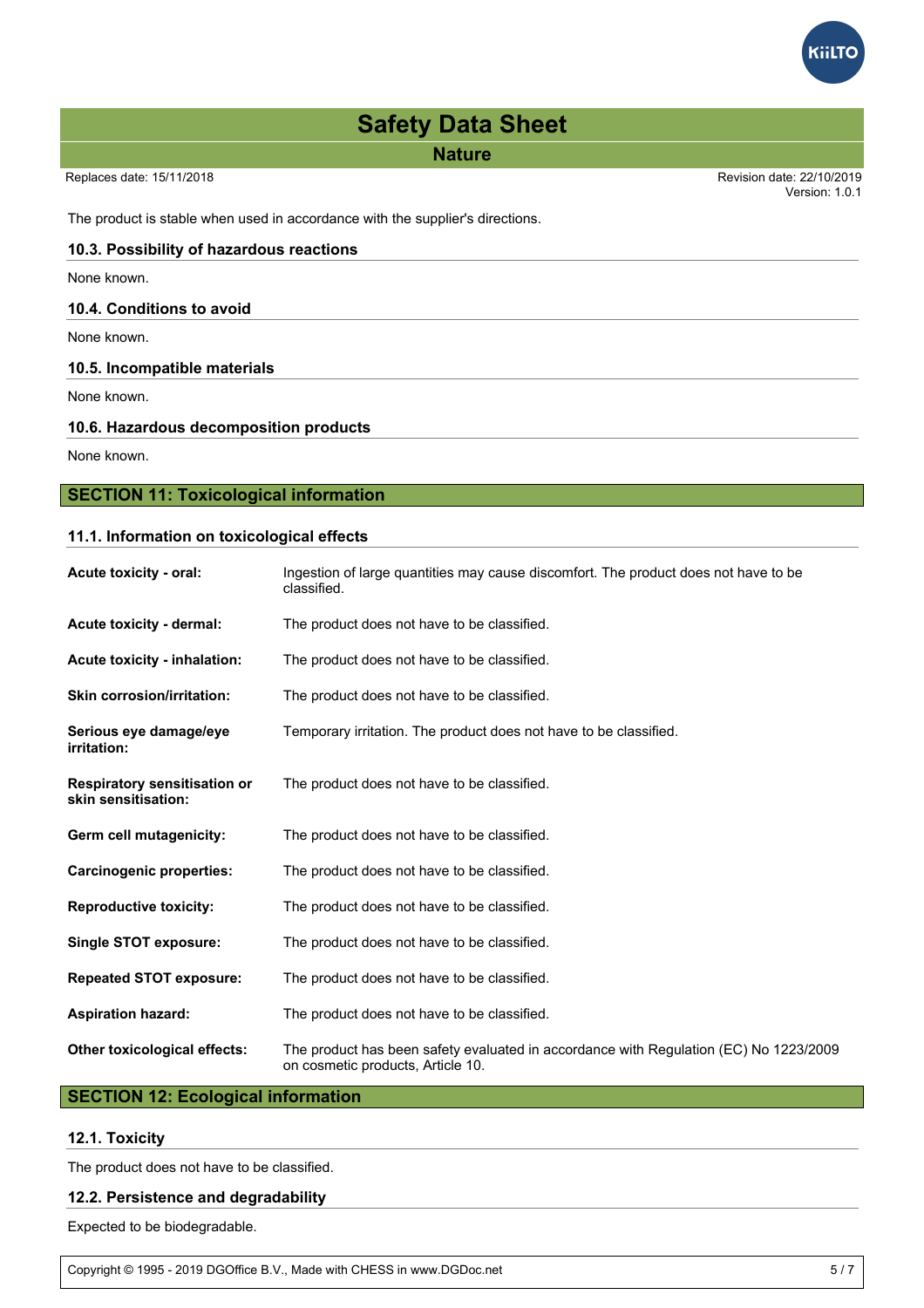**Nature**

Version: 1.0.1

**GilTC** 

The product is stable when used in accordance with the supplier's directions.

## **10.3. Possibility of hazardous reactions**

None known.

#### **10.4. Conditions to avoid**

None known.

#### **10.5. Incompatible materials**

None known.

#### **10.6. Hazardous decomposition products**

None known.

## **SECTION 11: Toxicological information**

### **11.1. Information on toxicological effects**

| Acute toxicity - oral:                                     | Ingestion of large quantities may cause discomfort. The product does not have to be<br>classified.                         |
|------------------------------------------------------------|----------------------------------------------------------------------------------------------------------------------------|
| Acute toxicity - dermal:                                   | The product does not have to be classified.                                                                                |
| <b>Acute toxicity - inhalation:</b>                        | The product does not have to be classified.                                                                                |
| <b>Skin corrosion/irritation:</b>                          | The product does not have to be classified.                                                                                |
| Serious eye damage/eye<br>irritation:                      | Temporary irritation. The product does not have to be classified.                                                          |
| <b>Respiratory sensitisation or</b><br>skin sensitisation: | The product does not have to be classified.                                                                                |
| Germ cell mutagenicity:                                    | The product does not have to be classified.                                                                                |
| <b>Carcinogenic properties:</b>                            | The product does not have to be classified.                                                                                |
| <b>Reproductive toxicity:</b>                              | The product does not have to be classified.                                                                                |
| Single STOT exposure:                                      | The product does not have to be classified.                                                                                |
| <b>Repeated STOT exposure:</b>                             | The product does not have to be classified.                                                                                |
| <b>Aspiration hazard:</b>                                  | The product does not have to be classified.                                                                                |
| Other toxicological effects:                               | The product has been safety evaluated in accordance with Regulation (EC) No 1223/2009<br>on cosmetic products, Article 10. |

## **SECTION 12: Ecological information**

## **12.1. Toxicity**

The product does not have to be classified.

## **12.2. Persistence and degradability**

Expected to be biodegradable.

Copyright © 1995 - 2019 DGOffice B.V., Made with CHESS in www.DGDoc.net 5 / 7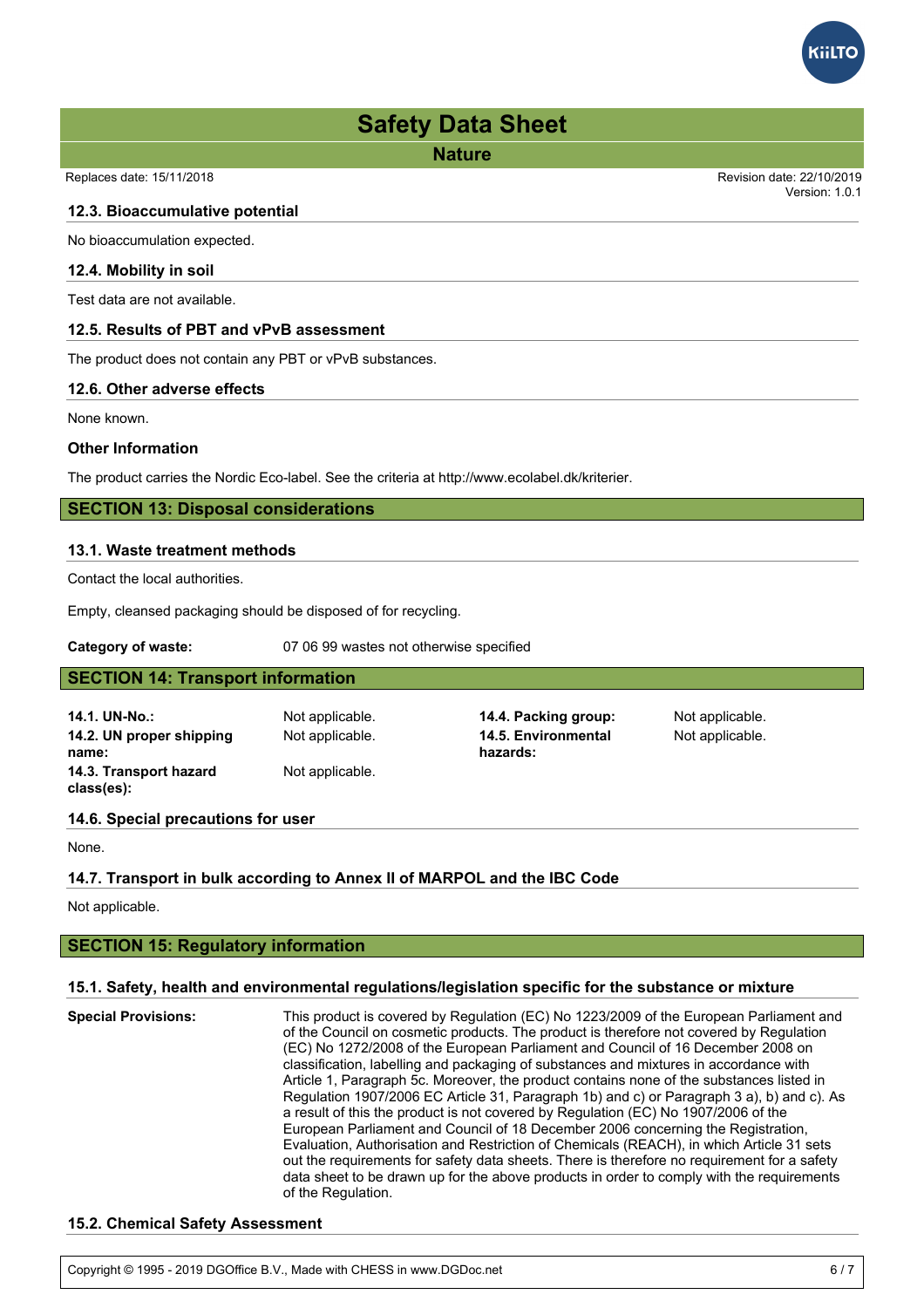**Nature**

#### **12.3. Bioaccumulative potential**

No bioaccumulation expected.

#### **12.4. Mobility in soil**

Test data are not available.

#### **12.5. Results of PBT and vPvB assessment**

The product does not contain any PBT or vPvB substances.

#### **12.6. Other adverse effects**

None known.

#### **Other Information**

The product carries the Nordic Eco-label. See the criteria at http://www.ecolabel.dk/kriterier.

#### **SECTION 13: Disposal considerations**

#### **13.1. Waste treatment methods**

Contact the local authorities.

Empty, cleansed packaging should be disposed of for recycling.

**Category of waste:** 07 06 99 wastes not otherwise specified

| <b>SECTION 14: Transport information</b> |                 |                                 |                 |  |  |  |
|------------------------------------------|-----------------|---------------------------------|-----------------|--|--|--|
| 14.1. UN-No.:                            | Not applicable. | 14.4. Packing group:            | Not applicable. |  |  |  |
| 14.2. UN proper shipping<br>name:        | Not applicable. | 14.5. Environmental<br>hazards: | Not applicable. |  |  |  |
| 14.3. Transport hazard<br>class(es):     | Not applicable. |                                 |                 |  |  |  |
| 14.6. Special precautions for user       |                 |                                 |                 |  |  |  |

None.

#### **14.7. Transport in bulk according to Annex II of MARPOL and the IBC Code**

Not applicable.

## **SECTION 15: Regulatory information**

#### **15.1. Safety, health and environmental regulations/legislation specific for the substance or mixture**

**Special Provisions:** This product is covered by Regulation (EC) No 1223/2009 of the European Parliament and of the Council on cosmetic products. The product is therefore not covered by Regulation (EC) No 1272/2008 of the European Parliament and Council of 16 December 2008 on classification, labelling and packaging of substances and mixtures in accordance with Article 1, Paragraph 5c. Moreover, the product contains none of the substances listed in Regulation 1907/2006 EC Article 31, Paragraph 1b) and c) or Paragraph 3 a), b) and c). As a result of this the product is not covered by Regulation (EC) No 1907/2006 of the European Parliament and Council of 18 December 2006 concerning the Registration, Evaluation, Authorisation and Restriction of Chemicals (REACH), in which Article 31 sets out the requirements for safety data sheets. There is therefore no requirement for a safety data sheet to be drawn up for the above products in order to comply with the requirements of the Regulation.

#### **15.2. Chemical Safety Assessment**

Copyright © 1995 - 2019 DGOffice B.V., Made with CHESS in www.DGDoc.net 6 / 7